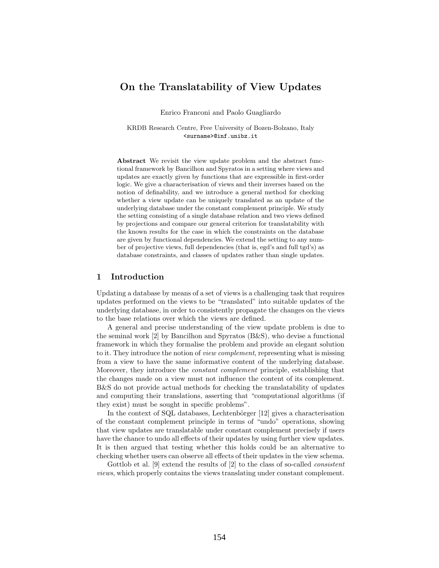# On the Translatability of View Updates

Enrico Franconi and Paolo Guagliardo

KRDB Research Centre, Free University of Bozen-Bolzano, Italy <surname>@inf.unibz.it

Abstract We revisit the view update problem and the abstract functional framework by Bancilhon and Spyratos in a setting where views and updates are exactly given by functions that are expressible in first-order logic. We give a characterisation of views and their inverses based on the notion of definability, and we introduce a general method for checking whether a view update can be uniquely translated as an update of the underlying database under the constant complement principle. We study the setting consisting of a single database relation and two views defined by projections and compare our general criterion for translatability with the known results for the case in which the constraints on the database are given by functional dependencies. We extend the setting to any number of projective views, full dependencies (that is, egd's and full tgd's) as database constraints, and classes of updates rather than single updates.

### 1 Introduction

Updating a database by means of a set of views is a challenging task that requires updates performed on the views to be "translated" into suitable updates of the underlying database, in order to consistently propagate the changes on the views to the base relations over which the views are defined.

A general and precise understanding of the view update problem is due to the seminal work [2] by Bancilhon and Spyratos (B&S), who devise a functional framework in which they formalise the problem and provide an elegant solution to it. They introduce the notion of view complement, representing what is missing from a view to have the same informative content of the underlying database. Moreover, they introduce the constant complement principle, establishing that the changes made on a view must not influence the content of its complement. B&S do not provide actual methods for checking the translatability of updates and computing their translations, asserting that "computational algorithms (if they exist) must be sought in specific problems".

In the context of SQL databases, Lechtenbörger [12] gives a characterisation of the constant complement principle in terms of "undo" operations, showing that view updates are translatable under constant complement precisely if users have the chance to undo all effects of their updates by using further view updates. It is then argued that testing whether this holds could be an alternative to checking whether users can observe all effects of their updates in the view schema.

Gottlob et al. [9] extend the results of [2] to the class of so-called consistent views, which properly contains the views translating under constant complement.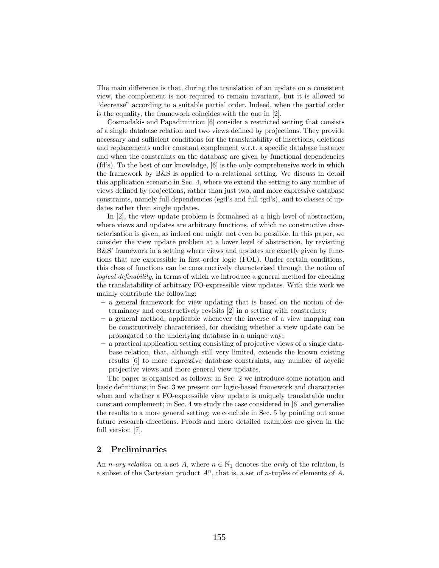The main difference is that, during the translation of an update on a consistent view, the complement is not required to remain invariant, but it is allowed to "decrease" according to a suitable partial order. Indeed, when the partial order is the equality, the framework coincides with the one in [2].

Cosmadakis and Papadimitriou [6] consider a restricted setting that consists of a single database relation and two views defined by projections. They provide necessary and sufficient conditions for the translatability of insertions, deletions and replacements under constant complement w.r.t. a specific database instance and when the constraints on the database are given by functional dependencies (fd's). To the best of our knowledge, [6] is the only comprehensive work in which the framework by B&S is applied to a relational setting. We discuss in detail this application scenario in Sec. 4, where we extend the setting to any number of views defined by projections, rather than just two, and more expressive database constraints, namely full dependencies (egd's and full tgd's), and to classes of updates rather than single updates.

In [2], the view update problem is formalised at a high level of abstraction, where views and updates are arbitrary functions, of which no constructive characterisation is given, as indeed one might not even be possible. In this paper, we consider the view update problem at a lower level of abstraction, by revisiting B&S' framework in a setting where views and updates are exactly given by functions that are expressible in first-order logic (FOL). Under certain conditions, this class of functions can be constructively characterised through the notion of logical definability, in terms of which we introduce a general method for checking the translatability of arbitrary FO-expressible view updates. With this work we mainly contribute the following:

- a general framework for view updating that is based on the notion of determinacy and constructively revisits [2] in a setting with constraints;
- a general method, applicable whenever the inverse of a view mapping can be constructively characterised, for checking whether a view update can be propagated to the underlying database in a unique way;
- a practical application setting consisting of projective views of a single database relation, that, although still very limited, extends the known existing results [6] to more expressive database constraints, any number of acyclic projective views and more general view updates.

The paper is organised as follows: in Sec. 2 we introduce some notation and basic definitions; in Sec. 3 we present our logic-based framework and characterise when and whether a FO-expressible view update is uniquely translatable under constant complement; in Sec. 4 we study the case considered in [6] and generalise the results to a more general setting; we conclude in Sec. 5 by pointing out some future research directions. Proofs and more detailed examples are given in the full version [7].

## 2 Preliminaries

An *n*-ary relation on a set A, where  $n \in \mathbb{N}_1$  denotes the arity of the relation, is a subset of the Cartesian product  $A<sup>n</sup>$ , that is, a set of *n*-tuples of elements of A.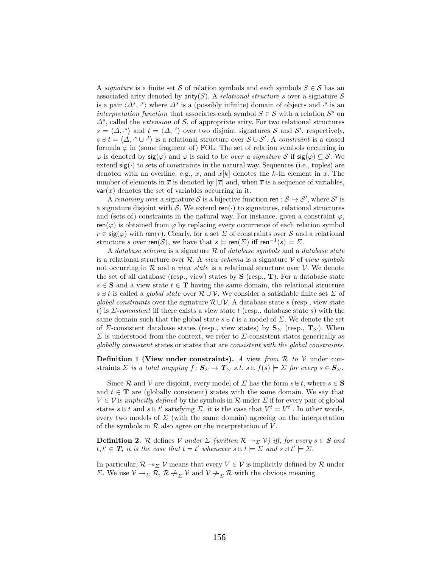A signature is a finite set S of relation symbols and each symbols  $S \in \mathcal{S}$  has an associated arity denoted by  $\text{arity}(S)$ . A *relational structure s* over a signature S is a pair  $\langle \Delta^s, \cdot \rangle$  where  $\Delta^s$  is a (possibly infinite) domain of objects and  $\cdot^s$  is an interpretation function that associates each symbol  $S \in \mathcal{S}$  with a relation  $S^s$  on  $\Delta^s$ , called the *extension* of S, of appropriate arity. For two relational structures  $s = \langle \Delta, \cdot^s \rangle$  and  $t = \langle \Delta, \cdot^t \rangle$  over two disjoint signatures S and S', respectively,  $s \uplus t = \langle \Delta, \cdot^s \cup \cdot^t \rangle$  is a relational structure over  $S \cup S'$ . A constraint is a closed formula  $\varphi$  in (some fragment of) FOL. The set of relation symbols occurring in  $\varphi$  is denoted by  $sig(\varphi)$  and  $\varphi$  is said to be *over a signature* S if  $sig(\varphi) \subseteq S$ . We extend  $sig(\cdot)$  to sets of constraints in the natural way. Sequences (i.e., tuples) are denoted with an overline, e.g.,  $\bar{x}$ , and  $\bar{x}[k]$  denotes the k-th element in  $\bar{x}$ . The number of elements in  $\bar{x}$  is denoted by  $|\bar{x}|$  and, when  $\bar{x}$  is a sequence of variables.  $var(\overline{x})$  denotes the set of variables occurring in it.

A renaming over a signature S is a bijective function ren :  $S \to S'$ , where S' is a signature disjoint with S. We extend ren( $\cdot$ ) to signatures, relational structures and (sets of) constraints in the natural way. For instance, given a constraint  $\varphi$ ,  $ren(\varphi)$  is obtained from  $\varphi$  by replacing every occurrence of each relation symbol  $r \in \text{sig}(\varphi)$  with ren(r). Clearly, for a set  $\Sigma$  of constraints over S and a relational structure s over ren(S), we have that  $s \models \text{ren}(\Sigma)$  iff ren<sup>-1</sup>(s)  $\models \Sigma$ .

A database schema is a signature  $R$  of database symbols and a database state is a relational structure over R. A *view schema* is a signature V of *view symbols* not occurring in  $R$  and a *view state* is a relational structure over  $V$ . We denote the set of all database (resp., view) states by  $S$  (resp.,  $T$ ). For a database state  $s \in S$  and a view state  $t \in T$  having the same domain, the relational structure s  $\forall t$  is called a *global state* over  $\mathcal{R} \cup \mathcal{V}$ . We consider a satisfiable finite set  $\Sigma$  of global constraints over the signature  $\mathcal{R} \cup \mathcal{V}$ . A database state s (resp., view state t) is  $\Sigma$ -consistent iff there exists a view state t (resp., database state s) with the same domain such that the global state  $s \oplus t$  is a model of  $\Sigma$ . We denote the set of  $\Sigma$ -consistent database states (resp., view states) by  $S_{\Sigma}$  (resp.,  $T_{\Sigma}$ ). When  $\Sigma$  is understood from the context, we refer to  $\Sigma$ -consistent states generically as globally consistent states or states that are consistent with the global constraints.

**Definition 1 (View under constraints).** A view from  $\mathcal{R}$  to  $\mathcal{V}$  under constraints  $\Sigma$  is a total mapping  $f: \mathbf{S}_{\Sigma} \to \mathbf{T}_{\Sigma}$  s.t.  $s \cup f(s) \models \Sigma$  for every  $s \in \mathbf{S}_{\Sigma}$ .

Since R and V are disjoint, every model of  $\Sigma$  has the form  $s \oplus t$ , where  $s \in S$ and  $t \in$ **T** are (globally consistent) states with the same domain. We say that  $V \in V$  is *implicitly defined* by the symbols in R under  $\Sigma$  if for every pair of global states  $s \oplus t$  and  $s \oplus t'$  satisfying  $\Sigma$ , it is the case that  $V^t = V^{t'}$ . In other words, every two models of  $\Sigma$  (with the same domain) agreeing on the interpretation of the symbols in  $R$  also agree on the interpretation of  $V$ .

**Definition 2.** R defines V under  $\Sigma$  (written  $\mathcal{R} \rightarrow \Sigma \mathcal{V}$ ) iff, for every  $s \in \mathcal{S}$  and  $t, t' \in T$ , it is the case that  $t = t'$  whenever  $s \uplus t \models \Sigma$  and  $s \uplus t' \models \Sigma$ .

In particular,  $\mathcal{R} \to \Sigma$  V means that every  $V \in \mathcal{V}$  is implicitly defined by  $\mathcal{R}$  under Σ. We use  $V \twoheadrightarrow_{\Sigma} \mathcal{R}, \mathcal{R} \nightharpoonup_{\Sigma} V$  and  $V \nightharpoonup_{\Sigma} \mathcal{R}$  with the obvious meaning.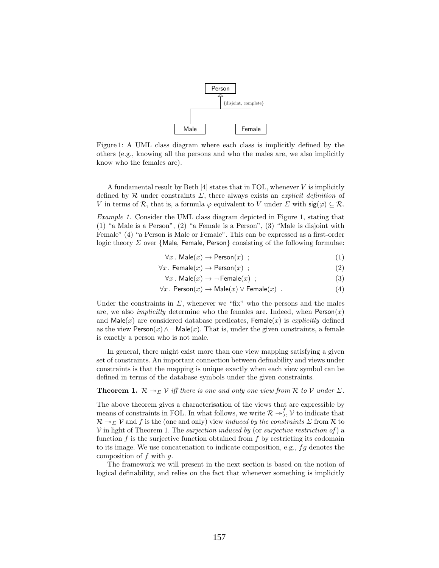

Figure 1: A UML class diagram where each class is implicitly defined by the others (e.g., knowing all the persons and who the males are, we also implicitly know who the females are).

A fundamental result by Beth  $[4]$  states that in FOL, whenever V is implicitly defined by  $\mathcal R$  under constraints  $\Sigma$ , there always exists an explicit definition of V in terms of R, that is, a formula  $\varphi$  equivalent to V under  $\Sigma$  with  $\text{sig}(\varphi) \subseteq \mathcal{R}$ .

Example 1. Consider the UML class diagram depicted in Figure 1, stating that (1) "a Male is a Person", (2) "a Female is a Person", (3) "Male is disjoint with Female" (4) "a Person is Male or Female". This can be expressed as a first-order logic theory  $\Sigma$  over {Male, Female, Person} consisting of the following formulae:

$$
\forall x. \text{ Male}(x) \rightarrow \text{Person}(x) ; \tag{1}
$$

$$
\forall x. \ \mathsf{Female}(x) \to \mathsf{Person}(x) \ ; \tag{2}
$$

$$
\forall x. \text{ Male}(x) \rightarrow \neg \text{Female}(x) ; \tag{3}
$$

$$
\forall x. \text{ Person}(x) \to \text{Male}(x) \lor \text{Female}(x) . \tag{4}
$$

Under the constraints in  $\Sigma$ , whenever we "fix" who the persons and the males are, we also *implicitly* determine who the females are. Indeed, when  $Person(x)$ and  $\textsf{Male}(x)$  are considered database predicates,  $\textsf{Female}(x)$  is explicitly defined as the view  $Person(x) \wedge \neg \text{Male}(x)$ . That is, under the given constraints, a female is exactly a person who is not male.

In general, there might exist more than one view mapping satisfying a given set of constraints. An important connection between definability and views under constraints is that the mapping is unique exactly when each view symbol can be defined in terms of the database symbols under the given constraints.

**Theorem 1.**  $\mathcal{R} \rightarrow \Sigma \mathcal{V}$  iff there is one and only one view from  $\mathcal{R}$  to  $\mathcal{V}$  under  $\Sigma$ .

The above theorem gives a characterisation of the views that are expressible by means of constraints in FOL. In what follows, we write  $\mathcal{R} \to_{\Sigma}^{f} \mathcal{V}$  to indicate that  $\mathcal{R} \rightarrow \Sigma \mathcal{V}$  and f is the (one and only) view *induced by the constraints*  $\Sigma$  from  $\mathcal{R}$  to  $V$  in light of Theorem 1. The *surjection induced by* (or *surjective restriction of*) a function  $f$  is the surjective function obtained from  $f$  by restricting its codomain to its image. We use concatenation to indicate composition, e.g.,  $fg$  denotes the composition of  $f$  with  $q$ .

The framework we will present in the next section is based on the notion of logical definability, and relies on the fact that whenever something is implicitly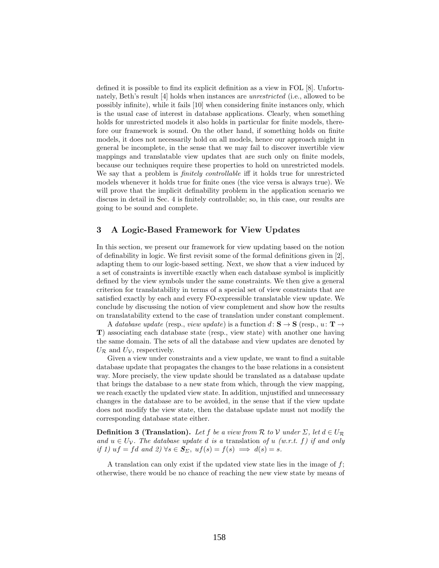defined it is possible to find its explicit definition as a view in FOL [8]. Unfortunately, Beth's result [4] holds when instances are unrestricted (i.e., allowed to be possibly infinite), while it fails [10] when considering finite instances only, which is the usual case of interest in database applications. Clearly, when something holds for unrestricted models it also holds in particular for finite models, therefore our framework is sound. On the other hand, if something holds on finite models, it does not necessarily hold on all models, hence our approach might in general be incomplete, in the sense that we may fail to discover invertible view mappings and translatable view updates that are such only on finite models, because our techniques require these properties to hold on unrestricted models. We say that a problem is *finitely controllable* iff it holds true for unrestricted models whenever it holds true for finite ones (the vice versa is always true). We will prove that the implicit definability problem in the application scenario we discuss in detail in Sec. 4 is finitely controllable; so, in this case, our results are going to be sound and complete.

### 3 A Logic-Based Framework for View Updates

In this section, we present our framework for view updating based on the notion of definability in logic. We first revisit some of the formal definitions given in [2], adapting them to our logic-based setting. Next, we show that a view induced by a set of constraints is invertible exactly when each database symbol is implicitly defined by the view symbols under the same constraints. We then give a general criterion for translatability in terms of a special set of view constraints that are satisfied exactly by each and every FO-expressible translatable view update. We conclude by discussing the notion of view complement and show how the results on translatability extend to the case of translation under constant complement.

A database update (resp., view update) is a function  $d: S \to S$  (resp.,  $u: T \to$ T) associating each database state (resp., view state) with another one having the same domain. The sets of all the database and view updates are denoted by  $U_{\mathcal{R}}$  and  $U_{\mathcal{V}}$ , respectively.

Given a view under constraints and a view update, we want to find a suitable database update that propagates the changes to the base relations in a consistent way. More precisely, the view update should be translated as a database update that brings the database to a new state from which, through the view mapping, we reach exactly the updated view state. In addition, unjustified and unnecessary changes in the database are to be avoided, in the sense that if the view update does not modify the view state, then the database update must not modify the corresponding database state either.

**Definition 3 (Translation).** Let f be a view from R to V under  $\Sigma$ , let  $d \in U_{\mathcal{R}}$ and  $u \in U_{\mathcal{V}}$ . The database update d is a translation of u (w.r.t. f) if and only if 1) uf = fd and 2)  $\forall s \in S_{\Sigma}$ ,  $uf(s) = f(s) \implies d(s) = s$ .

A translation can only exist if the updated view state lies in the image of  $f$ ; otherwise, there would be no chance of reaching the new view state by means of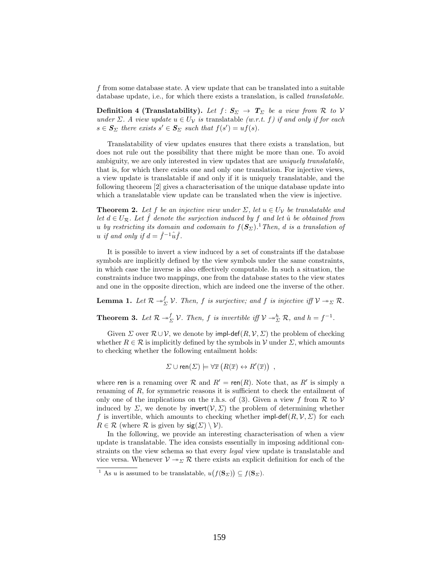f from some database state. A view update that can be translated into a suitable database update, i.e., for which there exists a translation, is called *translatable*.

**Definition 4 (Translatability).** Let  $f: S_{\Sigma} \rightarrow T_{\Sigma}$  be a view from R to V under  $\Sigma$ . A view update  $u \in U_{\mathcal{V}}$  is translatable (w.r.t. f) if and only if for each  $s \in S_{\Sigma}$  there exists  $s' \in S_{\Sigma}$  such that  $f(s') = uf(s)$ .

Translatability of view updates ensures that there exists a translation, but does not rule out the possibility that there might be more than one. To avoid ambiguity, we are only interested in view updates that are *uniquely translatable*, that is, for which there exists one and only one translation. For injective views, a view update is translatable if and only if it is uniquely translatable, and the following theorem [2] gives a characterisation of the unique database update into which a translatable view update can be translated when the view is injective.

**Theorem 2.** Let f be an injective view under  $\Sigma$ , let  $u \in U_{\mathcal{V}}$  be translatable and let  $d \in U_{\mathcal{R}}$ . Let  $\hat{f}$  denote the surjection induced by f and let  $\hat{u}$  be obtained from u by restricting its domain and codomain to  $f(\boldsymbol{S}_{\Sigma})$ .<sup>1</sup> Then, d is a translation of u if and only if  $d = \hat{f}^{-1}\hat{u}\hat{f}$ .

It is possible to invert a view induced by a set of constraints iff the database symbols are implicitly defined by the view symbols under the same constraints, in which case the inverse is also effectively computable. In such a situation, the constraints induce two mappings, one from the database states to the view states and one in the opposite direction, which are indeed one the inverse of the other.

**Lemma 1.** Let  $\mathcal{R} \to_{\Sigma}^f \mathcal{V}$ . Then, f is surjective; and f is injective iff  $\mathcal{V} \to_{\Sigma} \mathcal{R}$ .

**Theorem 3.** Let  $\mathcal{R} \to_{\Sigma}^{f} \mathcal{V}$ . Then, f is invertible iff  $\mathcal{V} \to_{\Sigma}^{h} \mathcal{R}$ , and  $h = f^{-1}$ .

Given  $\Sigma$  over  $\mathcal{R} \cup \mathcal{V}$ , we denote by impl-def $(R, \mathcal{V}, \Sigma)$  the problem of checking whether  $R \in \mathcal{R}$  is implicitly defined by the symbols in V under  $\Sigma$ , which amounts to checking whether the following entailment holds:

 $\Sigma \cup \text{ren}(\Sigma) \models \forall \overline{x} (R(\overline{x}) \leftrightarrow R'(\overline{x}))$ 

where ren is a renaming over  $\mathcal R$  and  $R' = \text{ren}(R)$ . Note that, as  $R'$  is simply a renaming of R, for symmetric reasons it is sufficient to check the entailment of only one of the implications on the r.h.s. of (3). Given a view f from  $\mathcal R$  to  $\mathcal V$ induced by  $\Sigma$ , we denote by invert $(V, \Sigma)$  the problem of determining whether f is invertible, which amounts to checking whether impl-def(R,  $\mathcal{V}, \Sigma$ ) for each  $R \in \mathcal{R}$  (where  $\mathcal{R}$  is given by  $sig(\Sigma) \setminus \mathcal{V}$ ).

In the following, we provide an interesting characterisation of when a view update is translatable. The idea consists essentially in imposing additional constraints on the view schema so that every *legal* view update is translatable and vice versa. Whenever  $V \rightarrow \Sigma \mathcal{R}$  there exists an explicit definition for each of the

<sup>&</sup>lt;sup>1</sup> As u is assumed to be translatable,  $u(f(S_{\Sigma})) \subseteq f(S_{\Sigma}).$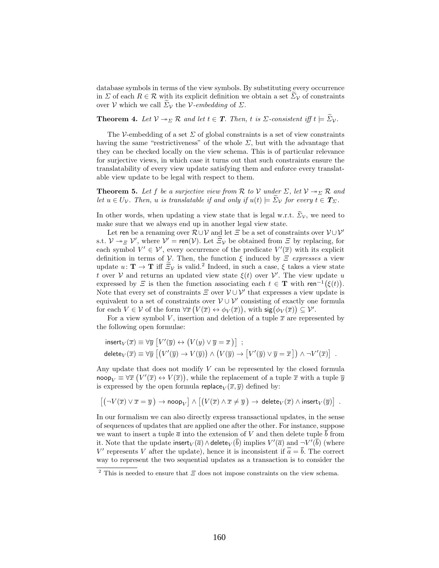database symbols in terms of the view symbols. By substituting every occurrence in  $\Sigma$  of each  $R \in \mathcal{R}$  with its explicit definition we obtain a set  $\Sigma_{\mathcal{V}}$  of constraints over V which we call  $\Sigma_{\mathcal{V}}$  the V-embedding of  $\Sigma$ .

**Theorem 4.** Let  $V \rightarrow_{\Sigma} \mathcal{R}$  and let  $t \in \mathcal{T}$ . Then, t is  $\Sigma$ -consistent iff  $t \models \widetilde{\Sigma}_{V}$ .

The V-embedding of a set  $\Sigma$  of global constraints is a set of view constraints having the same "restrictiveness" of the whole  $\Sigma$ , but with the advantage that they can be checked locally on the view schema. This is of particular relevance for surjective views, in which case it turns out that such constraints ensure the translatability of every view update satisfying them and enforce every translatable view update to be legal with respect to them.

**Theorem 5.** Let f be a surjective view from  $\mathcal R$  to  $\mathcal V$  under  $\Sigma$ , let  $\mathcal V \to_{\Sigma} \mathcal R$  and let  $u \in U_{\mathcal{V}}$ . Then, u is translatable if and only if  $u(t) \models \Sigma_{\mathcal{V}}$  for every  $t \in T_{\Sigma}$ .

In other words, when updating a view state that is legal w.r.t.  $\widetilde{\Sigma}_{\mathcal{V}}$ , we need to make sure that we always end up in another legal view state.

Let ren be a renaming over  $\mathcal{R}\cup\mathcal{V}$  and let  $\Xi$  be a set of constraints over  $\mathcal{V}\cup\mathcal{V}'$ s.t.  $\mathcal{V} \twoheadrightarrow_{\Xi} \mathcal{V}'$ , where  $\mathcal{V}' = \text{ren}(\mathcal{V})$ . Let  $\widetilde{\Xi}_{\mathcal{V}}$  be obtained from  $\Xi$  by replacing, for each symbol  $V' \in \mathcal{V}'$ , every occurrence of the predicate  $V'(\overline{x})$  with its explicit definition in terms of  $V$ . Then, the function  $\xi$  induced by  $\Xi$  expresses a view update  $u: \mathbf{T} \to \mathbf{T}$  iff  $\widetilde{\Xi}_{\mathcal{V}}$  is valid.<sup>2</sup> Indeed, in such a case,  $\xi$  takes a view state t over V and returns an updated view state  $\xi(t)$  over V'. The view update u expressed by  $\Xi$  is then the function associating each  $t \in \mathbf{T}$  with ren<sup>-1</sup>( $\xi(t)$ ). Note that every set of constraints  $\Xi$  over  $\mathcal{V} \cup \mathcal{V}'$  that expresses a view update is equivalent to a set of constraints over  $V \cup V'$  consisting of exactly one formula for each  $V \in \mathcal{V}$  of the form  $\forall \overline{x} (V(\overline{x}) \leftrightarrow \phi_V(\overline{x}))$ , with  $sig(\phi_V(\overline{x})) \subseteq \mathcal{V}'$ .

For a view symbol V, insertion and deletion of a tuple  $\bar{x}$  are represented by the following open formulae:

$$
\begin{aligned} &\text{insert}_V(\overline{x}) \equiv \forall \overline{y} \, \left[ V'(\overline{y}) \leftrightarrow \left( V(y) \vee \overline{y} = \overline{x} \, \right) \right] \ ; \\ &\text{delete}_V(\overline{x}) \equiv \forall \overline{y} \, \left[ \left( V'(\overline{y}) \rightarrow V(\overline{y}) \right) \wedge \left( V(\overline{y}) \rightarrow \left[ V'(\overline{y}) \vee \overline{y} = \overline{x} \, \right] \right) \wedge \neg V'(\overline{x}) \right] \ . \end{aligned}
$$

Any update that does not modify V can be represented by the closed formula noop $_V \equiv \forall \overline{x}$   $\big(V'(\overline{x}) \leftrightarrow V(\overline{x})\big)$ , while the replacement of a tuple  $\overline{x}$  with a tuple  $\overline{y}$ is expressed by the open formula  $\mathsf{replace}_V(\overline{x}, \overline{y})$  defined by:

$$
\left[\left(\neg V(\overline{x})\vee \overline{x}=\overline{y}\right)\to\text{noop}_V\right]\wedge \left[\left(V(\overline{x})\wedge \overline{x}\neq \overline{y}\right)\to \text{ delete}_V(\overline{x})\wedge\text{insert}_V(\overline{y})\right]\ .
$$

In our formalism we can also directly express transactional updates, in the sense of sequences of updates that are applied one after the other. For instance, suppose we want to insert a tuple  $\bar{a}$  into the extension of V and then delete tuple  $\bar{b}$  from it. Note that the update insert $_V(\overline{a}) \wedge$ delete $_V(\overline{b})$  implies  $V'(\overline{a})$  and  $\neg V'(\overline{b})$  (where V' represents V after the update), hence it is inconsistent if  $\overline{a} = \overline{b}$ . The correct way to represent the two sequential updates as a transaction is to consider the

<sup>&</sup>lt;sup>2</sup> This is needed to ensure that  $\Xi$  does not impose constraints on the view schema.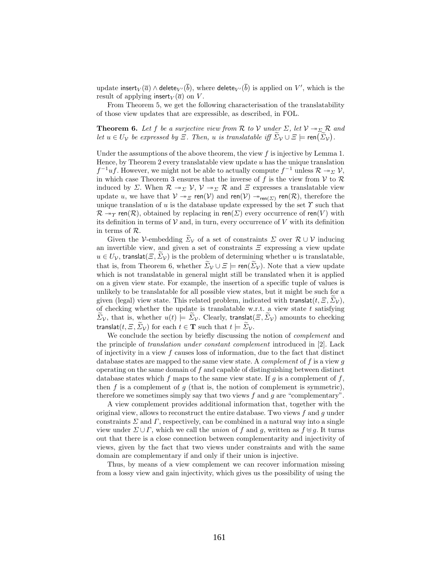update insert ${}_V(\overline{a})\wedge$  delete ${}_{V'}(\overline{b}),$  where delete ${}_{V'}(\overline{b})$  is applied on  $V',$  which is the result of applying insert $_V(\overline{a})$  on V.

From Theorem 5, we get the following characterisation of the translatability of those view updates that are expressible, as described, in FOL.

**Theorem 6.** Let f be a surjective view from R to V under  $\Sigma$ , let  $V \rightarrow \Sigma$  R and let  $u \in U_{\mathcal{V}}$  be expressed by  $\Xi$ . Then, u is translatable iff  $\Sigma_{\mathcal{V}} \cup \Xi \models \text{ren}(\Sigma_{\mathcal{V}})$ .

Under the assumptions of the above theorem, the view  $f$  is injective by Lemma 1. Hence, by Theorem 2 every translatable view update  $u$  has the unique translation  $f^{-1}uf$ . However, we might not be able to actually compute  $f^{-1}$  unless  $\mathcal{R} \to_{\Sigma} \mathcal{V}$ , in which case Theorem 3 ensures that the inverse of f is the view from  $V$  to  $\mathcal R$ induced by Σ. When  $\mathcal{R} \to_{\Sigma} \mathcal{V}$ ,  $\mathcal{V} \to_{\Sigma} \mathcal{R}$  and  $\Xi$  expresses a translatable view update u, we have that  $V \twoheadrightarrow_{\Xi} \text{ren}(\mathcal{V})$  and  $\text{ren}(\mathcal{V}) \twoheadrightarrow_{\text{ren}(\Sigma)} \text{ren}(\mathcal{R})$ , therefore the unique translation of  $u$  is the database update expressed by the set  $\Upsilon$  such that  $\mathcal{R} \rightarrow \gamma$  ren( $\mathcal{R}$ ), obtained by replacing in ren( $\Sigma$ ) every occurrence of ren(V) with its definition in terms of  $V$  and, in turn, every occurrence of  $V$  with its definition in terms of R.

Given the V-embedding  $\widetilde{\Sigma}_{\mathcal{V}}$  of a set of constraints  $\Sigma$  over  $\mathcal{R} \cup \mathcal{V}$  inducing an invertible view, and given a set of constraints  $\mathcal E$  expressing a view update  $u \in U_{\mathcal{V}}$ , translat $(\Xi, \tilde{\Sigma}_{\mathcal{V}})$  is the problem of determining whether u is translatable, that is, from Theorem 6, whether  $\widetilde{\Sigma}_{\mathcal{V}} \cup \Xi \models \text{ren}(\widetilde{\Sigma}_{\mathcal{V}})$ . Note that a view update which is not translatable in general might still be translated when it is applied on a given view state. For example, the insertion of a specific tuple of values is unlikely to be translatable for all possible view states, but it might be such for a given (legal) view state. This related problem, indicated with translat $(t, \mathcal{Z}, \Sigma_{\mathcal{V}})$ , of checking whether the update is translatable w.r.t. a view state  $t$  satisfying  $\widetilde{\Sigma}_{\mathcal{V}}$ , that is, whether  $u(t) \models \widetilde{\Sigma}_{\mathcal{V}}$ . Clearly, translat $(\Xi, \widetilde{\Sigma}_{\mathcal{V}})$  amounts to checking translat $(t, \Xi, \overline{\Sigma_{\mathcal{V}}})$  for each  $t \in \mathbf{T}$  such that  $t \models \overline{\Sigma_{\mathcal{V}}}$ .

We conclude the section by briefly discussing the notion of *complement* and the principle of translation under constant complement introduced in [2]. Lack of injectivity in a view  $f$  causes loss of information, due to the fact that distinct database states are mapped to the same view state. A *complement* of f is a view q operating on the same domain of  $f$  and capable of distinguishing between distinct database states which f maps to the same view state. If  $g$  is a complement of  $f$ , then  $f$  is a complement of  $g$  (that is, the notion of complement is symmetric), therefore we sometimes simply say that two views  $f$  and  $q$  are "complementary".

A view complement provides additional information that, together with the original view, allows to reconstruct the entire database. Two views  $f$  and  $q$  under constraints  $\Sigma$  and  $\Gamma$ , respectively, can be combined in a natural way into a single view under  $\Sigma \cup \Gamma$ , which we call the *union* of f and g, written as  $f \oplus g$ . It turns out that there is a close connection between complementarity and injectivity of views, given by the fact that two views under constraints and with the same domain are complementary if and only if their union is injective.

Thus, by means of a view complement we can recover information missing from a lossy view and gain injectivity, which gives us the possibility of using the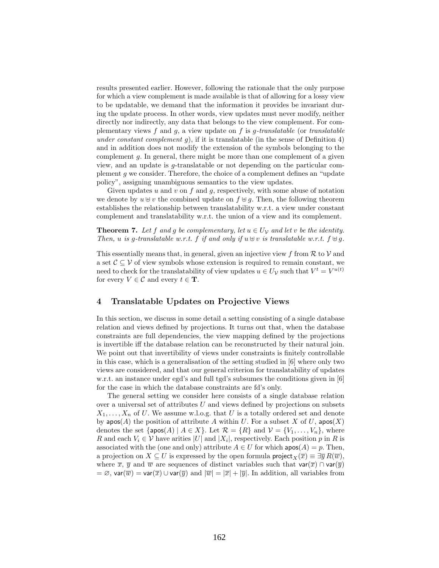results presented earlier. However, following the rationale that the only purpose for which a view complement is made available is that of allowing for a lossy view to be updatable, we demand that the information it provides be invariant during the update process. In other words, view updates must never modify, neither directly nor indirectly, any data that belongs to the view complement. For complementary views f and g, a view update on f is g-translatable (or translatable under constant complement  $q$ ), if it is translatable (in the sense of Definition 4) and in addition does not modify the extension of the symbols belonging to the complement g. In general, there might be more than one complement of a given view, and an update is g-translatable or not depending on the particular complement g we consider. Therefore, the choice of a complement defines an "update policy", assigning unambiguous semantics to the view updates.

Given updates u and v on f and q, respectively, with some abuse of notation we denote by  $u \oplus v$  the combined update on  $f \oplus g$ . Then, the following theorem establishes the relationship between translatability w.r.t. a view under constant complement and translatability w.r.t. the union of a view and its complement.

**Theorem 7.** Let f and g be complementary, let  $u \in U_{\mathcal{V}}$  and let v be the identity. Then, u is q-translatable w.r.t. f if and only if  $u \oplus v$  is translatable w.r.t.  $f \oplus q$ .

This essentially means that, in general, given an injective view f from  $\mathcal R$  to  $\mathcal V$  and a set  $\mathcal{C} \subseteq \mathcal{V}$  of view symbols whose extension is required to remain constant, we need to check for the translatability of view updates  $u \in U_{\mathcal{V}}$  such that  $V^t = V^{u(t)}$ for every  $V \in \mathcal{C}$  and every  $t \in \mathbf{T}$ .

### 4 Translatable Updates on Projective Views

In this section, we discuss in some detail a setting consisting of a single database relation and views defined by projections. It turns out that, when the database constraints are full dependencies, the view mapping defined by the projections is invertible iff the database relation can be reconstructed by their natural join. We point out that invertibility of views under constraints is finitely controllable in this case, which is a generalisation of the setting studied in [6] where only two views are considered, and that our general criterion for translatability of updates w.r.t. an instance under egd's and full tgd's subsumes the conditions given in [6] for the case in which the database constraints are fd's only.

The general setting we consider here consists of a single database relation over a universal set of attributes  $U$  and views defined by projections on subsets  $X_1, \ldots, X_n$  of U. We assume w.l.o.g. that U is a totally ordered set and denote by apos(A) the position of attribute A within U. For a subset X of U, apos(X) denotes the set  $\{\textsf{apos}(A) \mid A \in X\}$ . Let  $\mathcal{R} = \{R\}$  and  $\mathcal{V} = \{V_1, \ldots, V_n\}$ , where R and each  $V_i \in V$  have arities  $|U|$  and  $|X_i|$ , respectively. Each position p in R is associated with the (one and only) attribute  $A \in U$  for which  $\mathsf{apos}(A) = p$ . Then, a projection on  $X \subseteq U$  is expressed by the open formula project  $_X(\overline{x}) \equiv \exists \overline{y} R(\overline{w})$ , where  $\overline{x}$ ,  $\overline{y}$  and  $\overline{w}$  are sequences of distinct variables such that var $(\overline{x}) \cap \text{var}(\overline{y})$  $=\varnothing$ , var $(\overline{w}) = \text{var}(\overline{x}) \cup \text{var}(\overline{y})$  and  $|\overline{w}| = |\overline{x}| + |\overline{y}|$ . In addition, all variables from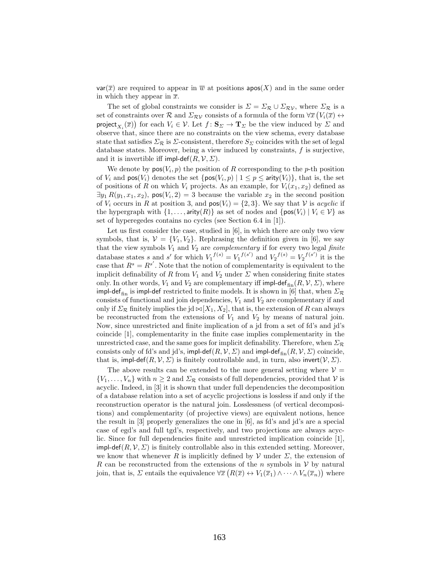$var(\overline{x})$  are required to appear in  $\overline{w}$  at positions apos(X) and in the same order in which they appear in  $\bar{x}$ .

The set of global constraints we consider is  $\Sigma = \Sigma_{\mathcal{R}} \cup \Sigma_{\mathcal{RV}}$ , where  $\Sigma_{\mathcal{R}}$  is a set of constraints over R and  $\Sigma_{\mathcal{RV}}$  consists of a formula of the form  $\forall \overline{x}$   $(V_i(\overline{x}) \leftrightarrow$ project<sub> $X_i(\overline{x})$ </sub> for each  $V_i \in \mathcal{V}$ . Let  $f: \mathbf{S}_{\Sigma} \to \mathbf{T}_{\Sigma}$  be the view induced by  $\Sigma$  and observe that, since there are no constraints on the view schema, every database state that satisfies  $\Sigma_{\mathcal{R}}$  is  $\Sigma$ -consistent, therefore  $S_{\Sigma}$  coincides with the set of legal database states. Moreover, being a view induced by constraints,  $f$  is surjective, and it is invertible iff impl-def $(R, V, \Sigma)$ .

We denote by  $pos(V_i, p)$  the position of R corresponding to the p-th position of  $V_i$  and  $pos(V_i)$  denotes the set  ${pos(V_i, p) | 1 \le p \le arity(V_i)}$ , that is, the set of positions of R on which  $V_i$  projects. As an example, for  $V_i(x_1, x_2)$  defined as  $\exists y_1 R(y_1, x_1, x_2)$ ,  $pos(V_i, 2) = 3$  because the variable  $x_2$  in the second position of  $V_i$  occurs in R at position 3, and  $pos(V_i) = \{2, 3\}$ . We say that V is *acyclic* if the hypergraph with  $\{1, \ldots, \text{arity}(R)\}\$ as set of nodes and  $\{\text{pos}(V_i) \mid V_i \in \mathcal{V}\}\$ as set of hyperegedes contains no cycles (see Section 6.4 in [1]).

Let us first consider the case, studied in [6], in which there are only two view symbols, that is,  $V = \{V_1, V_2\}$ . Rephrasing the definition given in [6], we say that the view symbols  $V_1$  and  $V_2$  are *complementary* if for every two legal *finite* database states s and s' for which  $V_1^{f(s)} = V_1^{f(s')}$  and  $V_2^{f(s)} = V_2^{f(s')}$  it is the case that  $R^s = R^{s'}$ . Note that the notion of complementarity is equivalent to the implicit definability of R from  $V_1$  and  $V_2$  under  $\Sigma$  when considering finite states only. In other words,  $V_1$  and  $V_2$  are complementary iff impl-def<sub>fin</sub> $(R, V, \Sigma)$ , where impl-def<sub>fin</sub> is impl-def restricted to finite models. It is shown in [6] that, when  $\Sigma_{\mathcal{R}}$ consists of functional and join dependencies,  $V_1$  and  $V_2$  are complementary if and only if  $\Sigma_{\mathcal{R}}$  finitely implies the jd  $\bowtie [X_1, X_2]$ , that is, the extension of R can always be reconstructed from the extensions of  $V_1$  and  $V_2$  by means of natural join. Now, since unrestricted and finite implication of a jd from a set of fd's and jd's coincide [1], complementarity in the finite case implies complementarity in the unrestricted case, and the same goes for implicit definability. Therefore, when  $\Sigma_{\mathcal{R}}$ consists only of fd's and jd's, impl-def $(R, V, \Sigma)$  and impl-def<sub>fin</sub> $(R, V, \Sigma)$  coincide, that is, impl-def $(R, V, \Sigma)$  is finitely controllable and, in turn, also invert $(V, \Sigma)$ .

The above results can be extended to the more general setting where  $V =$  $\{V_1,\ldots,V_n\}$  with  $n\geq 2$  and  $\Sigma_{\mathcal{R}}$  consists of full dependencies, provided that V is acyclic. Indeed, in [3] it is shown that under full dependencies the decomposition of a database relation into a set of acyclic projections is lossless if and only if the reconstruction operator is the natural join. Losslessness (of vertical decompositions) and complementarity (of projective views) are equivalent notions, hence the result in [3] properly generalizes the one in [6], as fd's and jd's are a special case of egd's and full tgd's, respectively, and two projections are always acyclic. Since for full dependencies finite and unrestricted implication coincide [1], impl-def(R,  $V, \Sigma$ ) is finitely controllable also in this extended setting. Moreover, we know that whenever R is implicitly defined by  $\mathcal V$  under  $\mathcal E$ , the extension of R can be reconstructed from the extensions of the n symbols in  $V$  by natural join, that is,  $\Sigma$  entails the equivalence  $\forall \overline{x}$   $(R(\overline{x}) \leftrightarrow V_1(\overline{x}_1) \land \cdots \land V_n(\overline{x}_n))$  where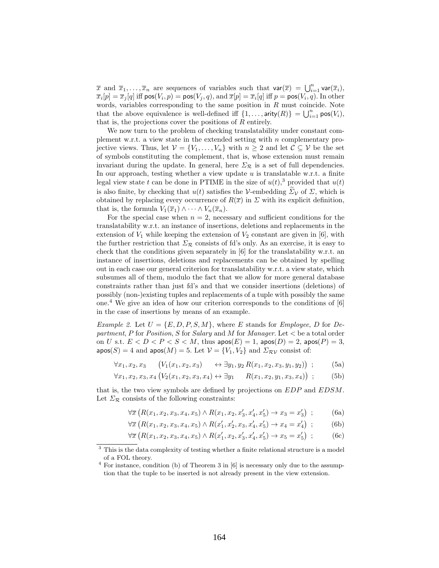$\overline{x}$  and  $\overline{x}_1,\ldots,\overline{x}_n$  are sequences of variables such that  $var(\overline{x}) = \bigcup_{i=1}^n var(\overline{x}_i),$  $\overline{x}_i[p] = \overline{x}_j[q]$  iff  $\mathsf{pos}(V_i, p) = \mathsf{pos}(V_j, q), \text{and } \overline{x}[p] = \overline{x}_i[q]$  iff  $p = \mathsf{pos}(V_i, q).$  In other words, variables corresponding to the same position in  $R$  must coincide. Note that the above equivalence is well-defined iff  $\{1, \ldots, \text{arity}(R)\} = \bigcup_{i=1}^{n} \text{pos}(V_i)$ , that is, the projections cover the positions of  $R$  entirely.

We now turn to the problem of checking translatability under constant complement w.r.t. a view state in the extended setting with  $n$  complementary projective views. Thus, let  $V = \{V_1, \ldots, V_n\}$  with  $n \geq 2$  and let  $C \subseteq V$  be the set of symbols constituting the complement, that is, whose extension must remain invariant during the update. In general, here  $\Sigma_{\mathcal{R}}$  is a set of full dependencies. In our approach, testing whether a view update  $u$  is translatable w.r.t. a finite legal view state t can be done in PTIME in the size of  $u(t)$ ,<sup>3</sup> provided that  $u(t)$ is also finite, by checking that  $u(t)$  satisfies the V-embedding  $\Sigma_{\mathcal{V}}$  of  $\Sigma$ , which is obtained by replacing every occurrence of  $R(\bar{x})$  in  $\Sigma$  with its explicit definition, that is, the formula  $V_1(\overline{x}_1) \wedge \cdots \wedge V_n(\overline{x}_n)$ .

For the special case when  $n = 2$ , necessary and sufficient conditions for the translatability w.r.t. an instance of insertions, deletions and replacements in the extension of  $V_1$  while keeping the extension of  $V_2$  constant are given in [6], with the further restriction that  $\Sigma_{\mathcal{R}}$  consists of fd's only. As an exercise, it is easy to check that the conditions given separately in [6] for the translatability w.r.t. an instance of insertions, deletions and replacements can be obtained by spelling out in each case our general criterion for translatability w.r.t. a view state, which subsumes all of them, modulo the fact that we allow for more general database constraints rather than just fd's and that we consider insertions (deletions) of possibly (non-)existing tuples and replacements of a tuple with possibly the same one.<sup>4</sup> We give an idea of how our criterion corresponds to the conditions of  $[6]$ in the case of insertions by means of an example.

*Example 2.* Let  $U = \{E, D, P, S, M\}$ , where E stands for *Employee*, D for Department, P for Position, S for Salary and M for Manager. Let  $\lt$  be a total order on U s.t.  $E < D < P < S < M$ , thus  $\textsf{apos}(E) = 1$ ,  $\textsf{apos}(D) = 2$ ,  $\textsf{apos}(P) = 3$ ,  $\textsf{apos}(S) = 4$  and  $\textsf{apos}(M) = 5$ . Let  $\mathcal{V} = \{V_1, V_2\}$  and  $\Sigma_{\mathcal{RV}}$  consist of:

$$
\forall x_1, x_2, x_3 \quad (V_1(x_1, x_2, x_3) \quad \leftrightarrow \exists y_1, y_2 R(x_1, x_2, x_3, y_1, y_2)) ; \quad (5a)
$$

$$
\forall x_1, x_2, x_3, x_4 \left( V_2(x_1, x_2, x_3, x_4) \leftrightarrow \exists y_1 \quad R(x_1, x_2, y_1, x_3, x_4) \right) ; \tag{5b}
$$

that is, the two view symbols are defined by projections on EDP and EDSM. Let  $\Sigma_{\mathcal{R}}$  consists of the following constraints:

$$
\forall \overline{x} \left( R(x_1, x_2, x_3, x_4, x_5) \land R(x_1, x_2, x'_3, x'_4, x'_5) \to x_3 = x'_3 \right) ; \tag{6a}
$$

$$
\forall \overline{x} \left( R(x_1, x_2, x_3, x_4, x_5) \land R(x'_1, x'_2, x_3, x'_4, x'_5) \rightarrow x_4 = x'_4 \right) ; \tag{6b}
$$

$$
\forall \overline{x} \left( R(x_1, x_2, x_3, x_4, x_5) \land R(x'_1, x_2, x'_3, x'_4, x'_5) \rightarrow x_5 = x'_5 \right) ; \tag{6c}
$$

<sup>&</sup>lt;sup>3</sup> This is the data complexity of testing whether a finite relational structure is a model of a FOL theory.

 $4$  For instance, condition (b) of Theorem 3 in [6] is necessary only due to the assumption that the tuple to be inserted is not already present in the view extension.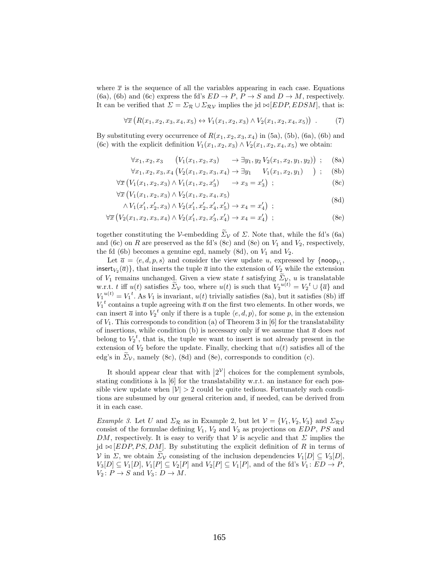where  $\bar{x}$  is the sequence of all the variables appearing in each case. Equations (6a), (6b) and (6c) express the fd's  $ED \rightarrow P$ ,  $P \rightarrow S$  and  $D \rightarrow M$ , respectively. It can be verified that  $\Sigma = \Sigma_{\mathcal{R}} \cup \Sigma_{\mathcal{RV}}$  implies the jd  $\bowtie$  [EDP, EDSM], that is:

$$
\forall \overline{x} \left( R(x_1, x_2, x_3, x_4, x_5) \leftrightarrow V_1(x_1, x_2, x_3) \land V_2(x_1, x_2, x_4, x_5) \right) . \tag{7}
$$

By substituting every occurrence of  $R(x_1, x_2, x_3, x_4)$  in (5a), (5b), (6a), (6b) and (6c) with the explicit definition  $V_1(x_1, x_2, x_3) \wedge V_2(x_1, x_2, x_4, x_5)$  we obtain:

> $\forall x_1, x_2, x_3$  $(V_1(x_1, x_2, x_3) \rightarrow \exists y_1, y_2 V_2(x_1, x_2, y_1, y_2))$  $(8a)$

$$
\forall x_1, x_2, x_3, x_4 \left( V_2(x_1, x_2, x_3, x_4) \to \exists y_1 \quad V_1(x_1, x_2, y_1) \quad \right); \quad \text{(8b)}
$$

$$
\forall \overline{x} \left( V_1(x_1, x_2, x_3) \land V_1(x_1, x_2, x'_3) \right) \rightarrow x_3 = x'_3 \right) ; \tag{8c}
$$

$$
\forall \overline{x} \left( V_1(x_1, x_2, x_3) \land V_2(x_1, x_2, x_4, x_5) \right) \tag{8d}
$$

$$
\wedge V_1(x'_1, x'_2, x_3) \wedge V_2(x'_1, x'_2, x'_4, x'_5) \rightarrow x_4 = x'_4) ;
$$

$$
\forall \overline{x} \left( V_2(x_1, x_2, x_3, x_4) \land V_2(x'_1, x_2, x'_3, x'_4) \to x_4 = x'_4 \right) ; \tag{8e}
$$

together constituting the V-embedding  $\widetilde{\Sigma}_V$  of  $\Sigma$ . Note that, while the fd's (6a) and (6c) on R are preserved as the fd's (8c) and (8e) on  $V_1$  and  $V_2$ , respectively, the fd (6b) becomes a genuine egd, namely (8d), on  $V_1$  and  $V_2$ .

Let  $\overline{a} = \langle e, d, p, s \rangle$  and consider the view update u, expressed by  $\{\text{loop}_{V_1},$ insert<sub> $V_2(\overline{a})\}$ , that inserts the tuple  $\overline{a}$  into the extension of  $V_2$  while the extension</sub> of  $V_1$  remains unchanged. Given a view state t satisfying  $\Sigma_{\mathcal{V}}, u$  is translatable w.r.t. t iff  $u(t)$  satisfies  $\widetilde{\Sigma}_V$  too, where  $u(t)$  is such that  $V_2^{u(t)} = V_2^t \cup {\overline{a}}$  and  $V_1^{u(t)} = V_1^t$ . As  $V_1$  is invariant,  $u(t)$  trivially satisfies (8a), but it satisfies (8b) iff  $V_1^t$  contains a tuple agreeing with  $\overline{a}$  on the first two elements. In other words, we can insert  $\bar{a}$  into  $V_2^t$  only if there is a tuple  $\langle e, d, p \rangle$ , for some p, in the extension of  $V_1$ . This corresponds to condition (a) of Theorem 3 in [6] for the translatability of insertions, while condition (b) is necessary only if we assume that  $\bar{a}$  does not belong to  $V_2^t$ , that is, the tuple we want to insert is not already present in the extension of  $V_2$  before the update. Finally, checking that  $u(t)$  satisfies all of the edg's in  $\Sigma_{\mathcal{V}}$ , namely (8c), (8d) and (8e), corresponds to condition (c).

It should appear clear that with  $|2^{\mathcal{V}}|$  choices for the complement symbols, stating conditions à la  $[6]$  for the translatability w.r.t. an instance for each possible view update when  $|\mathcal{V}| > 2$  could be quite tedious. Fortunately such conditions are subsumed by our general criterion and, if needed, can be derived from it in each case.

*Example 3.* Let U and  $\Sigma_{\mathcal{R}}$  as in Example 2, but let  $\mathcal{V} = \{V_1, V_2, V_3\}$  and  $\Sigma_{\mathcal{RV}}$ consist of the formulae defining  $V_1$ ,  $V_2$  and  $V_3$  as projections on EDP, PS and DM, respectively. It is easy to verify that V is acyclic and that  $\Sigma$  implies the jd  $\bowtie$  [EDP, PS, DM]. By substituting the explicit definition of R in terms of V in  $\Sigma$ , we obtain  $\Sigma_{\mathcal{V}}$  consisting of the inclusion dependencies  $V_1[D] \subseteq V_3[D]$ ,  $V_3[D] \subseteq V_1[D], V_1[P] \subseteq V_2[P]$  and  $V_2[P] \subseteq V_1[P]$ , and of the fd's  $V_1 : ED \rightarrow P$ ,  $V_2: P \to S$  and  $V_3: D \to M$ .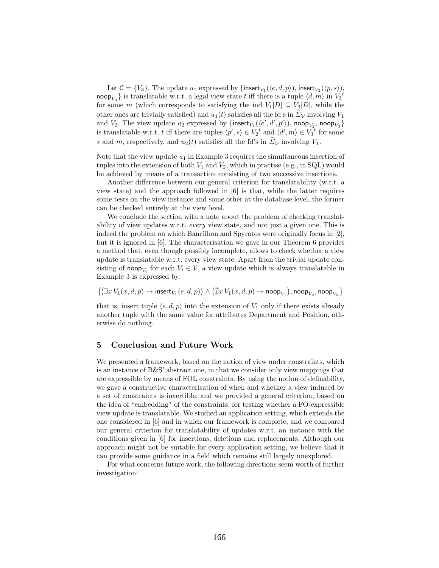Let  $C = \{V_3\}$ . The update  $u_1$  expressed by  $\{\textsf{insert}_{V_1}(\langle e, d, p \rangle), \textsf{insert}_{V_2}(\langle p, s \rangle),\}$  $\mathsf{noop}_{V_3}\}$  is translatable w.r.t. a legal view state  $t$  iff there is a tuple  $\langle d, m\rangle$  in  $V_3{}^t$ for some m (which corresponds to satisfying the ind  $V_1[D] \subseteq V_3[D]$ , while the other ones are trivially satisfied) and  $u_1(t)$  satisfies all the fd's in  $\tilde{\Sigma}_V$  involving  $V_1$ and  $V_2$ . The view update  $u_2$  expressed by  $\{\text{insert}_{V_1}(\langle e', d', p' \rangle), \text{noop}_{V_2}, \text{noop}_{V_3}\}$ is translatable w.r.t. t iff there are tuples  $\langle p', s \rangle \in V_2^t$  and  $\langle d', m \rangle \in V_3^t$  for some s and m, respectively, and  $u_2(t)$  satisfies all the fd's in  $\tilde{\Sigma}_V$  involving  $V_1$ .

Note that the view update  $u_1$  in Example 3 requires the simultaneous insertion of tuples into the extension of both  $V_1$  and  $V_2$ , which in practise (e.g., in SQL) would be achieved by means of a transaction consisting of two successive insertions.

Another difference between our general criterion for translatability (w.r.t. a view state) and the approach followed in [6] is that, while the latter requires some tests on the view instance and some other at the database level, the former can be checked entirely at the view level.

We conclude the section with a note about the problem of checking translatability of view updates w.r.t. every view state, and not just a given one. This is indeed the problem on which Bancilhon and Spyratos were originally focus in [2], but it is ignored in [6]. The characterisation we gave in our Theorem 6 provides a method that, even though possibly incomplete, allows to check whether a view update is translatable w.r.t. every view state. Apart from the trivial update consisting of noop<sub>V<sub>i</sub></sub> for each  $V_i \in \mathcal{V}$ , a view update which is always translatable in Example 3 is expressed by:

 $\left\{ \left( \exists x\,V_1(x,d,p) \to \mathrm{insert}_{V_1}(e,d,p) \right) \land \left( \nexists x\,V_1(x,d,p) \to \mathrm{noop}_{V_1} \right) , \mathrm{noop}_{V_2} , \mathrm{noop}_{V_3} \right\}$ 

that is, insert tuple  $\langle e, d, p \rangle$  into the extension of  $V_1$  only if there exists already another tuple with the same value for attributes Department and Position, otherwise do nothing.

## 5 Conclusion and Future Work

We presented a framework, based on the notion of view under constraints, which is an instance of B&S' abstract one, in that we consider only view mappings that are expressible by means of FOL constraints. By using the notion of definability, we gave a constructive characterisation of when and whether a view induced by a set of constraints is invertible, and we provided a general criterion, based on the idea of "embedding" of the constraints, for testing whether a FO-expressible view update is translatable. We studied an application setting, which extends the one considered in [6] and in which our framework is complete, and we compared our general criterion for translatability of updates w.r.t. an instance with the conditions given in [6] for insertions, deletions and replacements. Although our approach might not be suitable for every application setting, we believe that it can provide some guidance in a field which remains still largely unexplored.

For what concerns future work, the following directions seem worth of further investigation: